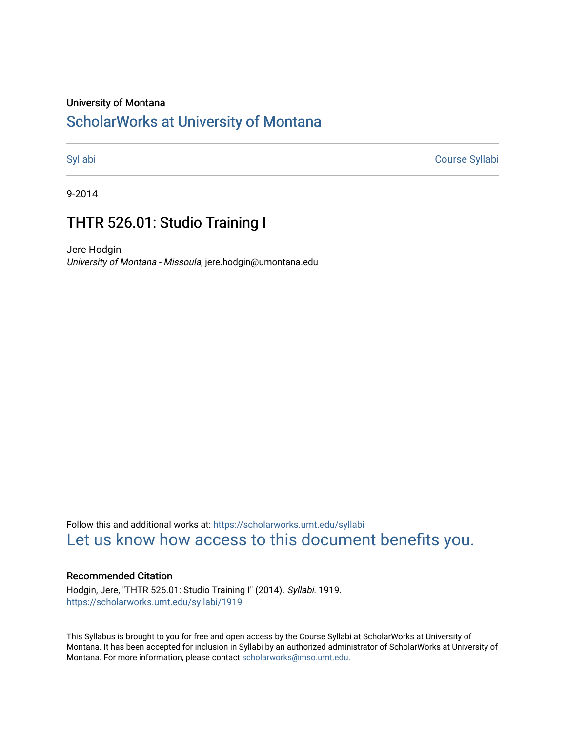## University of Montana

# [ScholarWorks at University of Montana](https://scholarworks.umt.edu/)

[Syllabi](https://scholarworks.umt.edu/syllabi) [Course Syllabi](https://scholarworks.umt.edu/course_syllabi) 

9-2014

# THTR 526.01: Studio Training I

Jere Hodgin University of Montana - Missoula, jere.hodgin@umontana.edu

Follow this and additional works at: [https://scholarworks.umt.edu/syllabi](https://scholarworks.umt.edu/syllabi?utm_source=scholarworks.umt.edu%2Fsyllabi%2F1919&utm_medium=PDF&utm_campaign=PDFCoverPages)  [Let us know how access to this document benefits you.](https://goo.gl/forms/s2rGfXOLzz71qgsB2) 

### Recommended Citation

Hodgin, Jere, "THTR 526.01: Studio Training I" (2014). Syllabi. 1919. [https://scholarworks.umt.edu/syllabi/1919](https://scholarworks.umt.edu/syllabi/1919?utm_source=scholarworks.umt.edu%2Fsyllabi%2F1919&utm_medium=PDF&utm_campaign=PDFCoverPages)

This Syllabus is brought to you for free and open access by the Course Syllabi at ScholarWorks at University of Montana. It has been accepted for inclusion in Syllabi by an authorized administrator of ScholarWorks at University of Montana. For more information, please contact [scholarworks@mso.umt.edu.](mailto:scholarworks@mso.umt.edu)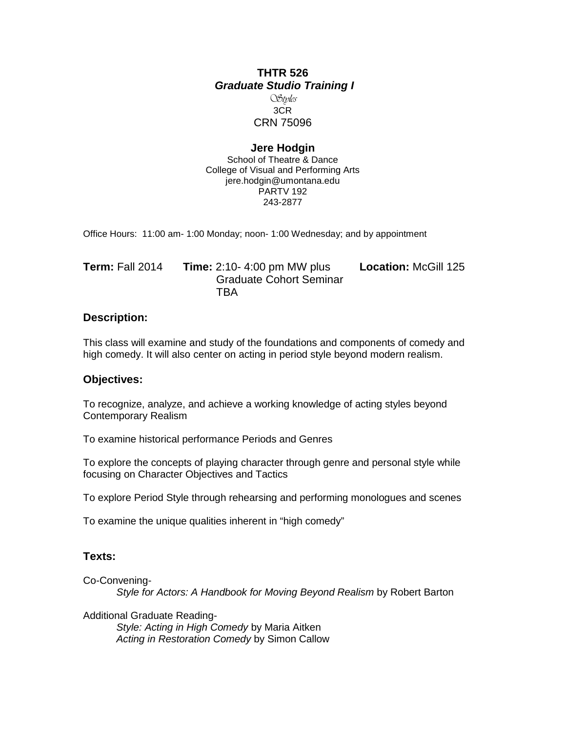# **THTR 526** *Graduate Studio Training I*

### Styles 3CR CRN 75096

# **Jere Hodgin**

School of Theatre & Dance College of Visual and Performing Arts jere.hodgin@umontana.edu PARTV 192 243-2877

Office Hours: 11:00 am- 1:00 Monday; noon- 1:00 Wednesday; and by appointment

| <b>Term: Fall 2014</b> | <b>Time:</b> $2:10 - 4:00$ pm MW plus | <b>Location: McGill 125</b> |
|------------------------|---------------------------------------|-----------------------------|
|                        | <b>Graduate Cohort Seminar</b>        |                             |
|                        | TBA                                   |                             |

# **Description:**

This class will examine and study of the foundations and components of comedy and high comedy. It will also center on acting in period style beyond modern realism.

## **Objectives:**

To recognize, analyze, and achieve a working knowledge of acting styles beyond Contemporary Realism

To examine historical performance Periods and Genres

To explore the concepts of playing character through genre and personal style while focusing on Character Objectives and Tactics

To explore Period Style through rehearsing and performing monologues and scenes

To examine the unique qualities inherent in "high comedy"

# **Texts:**

Co-Convening-

*Style for Actors: A Handbook for Moving Beyond Realism* by Robert Barton

Additional Graduate Reading-

*Style: Acting in High Comedy* by Maria Aitken *Acting in Restoration Comedy* by Simon Callow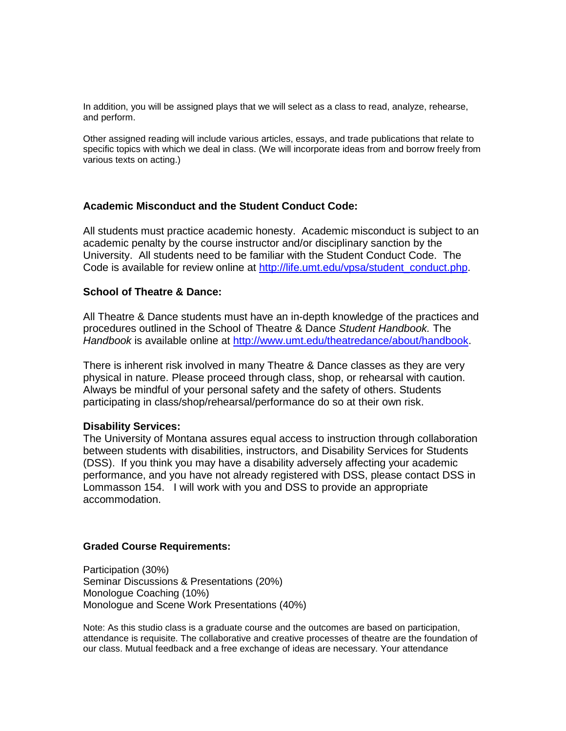In addition, you will be assigned plays that we will select as a class to read, analyze, rehearse, and perform.

Other assigned reading will include various articles, essays, and trade publications that relate to specific topics with which we deal in class. (We will incorporate ideas from and borrow freely from various texts on acting.)

# **Academic Misconduct and the Student Conduct Code:**

All students must practice academic honesty. Academic misconduct is subject to an academic penalty by the course instructor and/or disciplinary sanction by the University. All students need to be familiar with the Student Conduct Code. The Code is available for review online at [http://life.umt.edu/vpsa/student\\_conduct.php.](http://life.umt.edu/vpsa/student_conduct.php)

## **School of Theatre & Dance:**

All Theatre & Dance students must have an in-depth knowledge of the practices and procedures outlined in the School of Theatre & Dance *Student Handbook.* The *Handbook* is available online at [http://www.umt.edu/theatredance/about/handbook.](http://www.umt.edu/theatredance/about/handbook)

There is inherent risk involved in many Theatre & Dance classes as they are very physical in nature. Please proceed through class, shop, or rehearsal with caution. Always be mindful of your personal safety and the safety of others. Students participating in class/shop/rehearsal/performance do so at their own risk.

#### **Disability Services:**

The University of Montana assures equal access to instruction through collaboration between students with disabilities, instructors, and Disability Services for Students (DSS). If you think you may have a disability adversely affecting your academic performance, and you have not already registered with DSS, please contact DSS in Lommasson 154. I will work with you and DSS to provide an appropriate accommodation.

#### **Graded Course Requirements:**

Participation (30%) Seminar Discussions & Presentations (20%) Monologue Coaching (10%) Monologue and Scene Work Presentations (40%)

Note: As this studio class is a graduate course and the outcomes are based on participation, attendance is requisite. The collaborative and creative processes of theatre are the foundation of our class. Mutual feedback and a free exchange of ideas are necessary. Your attendance